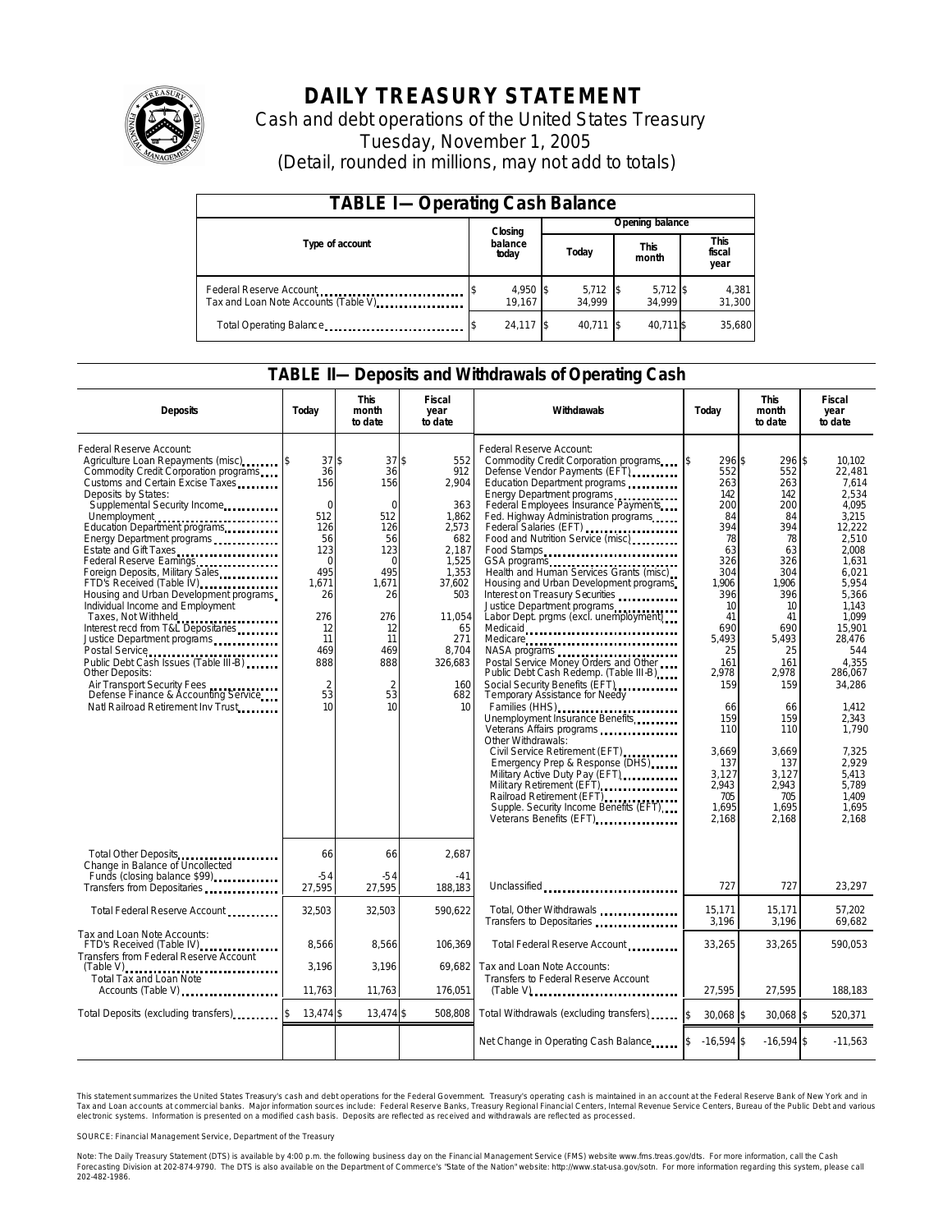

# **DAILY TREASURY STATEMENT**

Cash and debt operations of the United States Treasury Tuesday, November 1, 2005 (Detail, rounded in millions, may not add to totals)

| <b>TABLE I-Operating Cash Balance</b>                            |  |                    |  |                      |  |                      |  |                        |  |  |
|------------------------------------------------------------------|--|--------------------|--|----------------------|--|----------------------|--|------------------------|--|--|
|                                                                  |  | Closing            |  | Opening balance      |  |                      |  |                        |  |  |
| Type of account                                                  |  | balance<br>today   |  | Today                |  | <b>This</b><br>month |  | This<br>fiscal<br>year |  |  |
| Federal Reserve Account<br>Tax and Loan Note Accounts (Table V). |  | 4,950 \$<br>19.167 |  | $5,712$ \$<br>34.999 |  | $5,712$ \$<br>34.999 |  | 4,381<br>31,300        |  |  |
| Total Operating Balance                                          |  | 24,117 \$          |  | 40.711 \\$           |  | 40.711 \$            |  | 35,680                 |  |  |

### **TABLE II—Deposits and Withdrawals of Operating Cash**

| <b>Deposits</b>                                                                                                                                                                                                                                                                                                                                                                                                                                                                                                                                                                                                                                                                                                                                             | Today                                                                                                                                                       | <b>This</b><br>month<br>to date                                                                                                                             | Fiscal<br>year<br>to date                                                                                                                                      | Withdrawals                                                                                                                                                                                                                                                                                                                                                                                                                                                                                                                                                                                                                                                                                                                                                                                                                                                                                                                                                                                                                                                                            | Today                                                                                                                                                                                                                             | <b>This</b><br>month<br>to date                                                                                                                                                                                                   | Fiscal<br>year<br>to date                                                                                                                                                                                                                                                                 |  |
|-------------------------------------------------------------------------------------------------------------------------------------------------------------------------------------------------------------------------------------------------------------------------------------------------------------------------------------------------------------------------------------------------------------------------------------------------------------------------------------------------------------------------------------------------------------------------------------------------------------------------------------------------------------------------------------------------------------------------------------------------------------|-------------------------------------------------------------------------------------------------------------------------------------------------------------|-------------------------------------------------------------------------------------------------------------------------------------------------------------|----------------------------------------------------------------------------------------------------------------------------------------------------------------|----------------------------------------------------------------------------------------------------------------------------------------------------------------------------------------------------------------------------------------------------------------------------------------------------------------------------------------------------------------------------------------------------------------------------------------------------------------------------------------------------------------------------------------------------------------------------------------------------------------------------------------------------------------------------------------------------------------------------------------------------------------------------------------------------------------------------------------------------------------------------------------------------------------------------------------------------------------------------------------------------------------------------------------------------------------------------------------|-----------------------------------------------------------------------------------------------------------------------------------------------------------------------------------------------------------------------------------|-----------------------------------------------------------------------------------------------------------------------------------------------------------------------------------------------------------------------------------|-------------------------------------------------------------------------------------------------------------------------------------------------------------------------------------------------------------------------------------------------------------------------------------------|--|
| Federal Reserve Account:<br>Agriculture Loan Repayments (misc)<br>Commodity Credit Corporation programs<br>Customs and Certain Excise Taxes<br>Deposits by States:<br>Supplemental Security Income<br>Unemployment<br>Education Department programs<br>Energy Department programs<br>Estate and Gift Taxes<br>Federal Reserve Earnings<br>Foreign Deposits, Military Sales<br>FTD's Received (Table IV)<br>Housing and Urban Development programs<br>Individual Income and Employment<br>Taxes, Not Withheld<br>Interest recd from T&L Depositaries<br>Justice Department programs<br>Public Debt Cash Issues (Table III-B)<br>Other Deposits:<br>Air Transport Security Fees<br>Defense Finance & Accounting Service<br>Natl Railroad Retirement Inv Trust | 37S<br>36<br>156<br>$\mathbf 0$<br>512<br>126<br>56<br>123<br>$\Omega$<br>495<br>1,671<br>26<br>276<br>12<br>11<br>469<br>888<br>$\overline{2}$<br>53<br>10 | 37S<br>36<br>156<br>$\mathbf 0$<br>512<br>126<br>56<br>123<br>$\Omega$<br>495<br>1,671<br>26<br>276<br>12<br>11<br>469<br>888<br>$\overline{2}$<br>53<br>10 | 552<br>912<br>2,904<br>363<br>1,862<br>2,573<br>682<br>2.187<br>1,525<br>1,353<br>37,602<br>503<br>11,054<br>65<br>271<br>8,704<br>326,683<br>160<br>682<br>10 | Federal Reserve Account:<br>Commodity Credit Corporation programs<br>Defense Vendor Payments (EFT)<br>Education Department programs<br>Energy Department programs<br>Federal Employees Insurance Payments<br>Fed. Highway Administration programs<br>Federal Salaries (EFT)<br>Food and Nutrition Service (misc)<br>Food Stamps<br>Health and Human Services Grants (misc)<br>Housing and Urban Development programs<br>Interest on Treasury Securities<br>Justice Department programs<br>Labor Dept. prgms (excl. unemployment)<br>Medicare<br>NASA programs<br>Postal Service Money Orders and Other<br>Public Debt Cash Redemp. (Table III-B)<br>Social Security Benefits (EFT)<br>Temporary Assistance for Needy<br>Families (HHS)<br>Unemployment Insurance Benefits<br>Veterans Affairs programs<br>Other Withdrawals:<br>Civil Service Retirement (EFT)<br><br>Emergency Prep & Response (DHS)<br>Military Active Duty Pay (EFT) Military Active<br>Military Retirement (EFT)<br>Railroad Retirement (EFT)<br>Supple. Security Income Benefits (EFT)<br>Veterans Benefits (EFT) | 296 \$<br>552<br>263<br>142<br>200<br>84<br>394<br>78<br>63<br>326<br>304<br>1,906<br>396<br>10<br>41<br>690<br>5,493<br>25<br>161<br>2.978<br>159<br>66<br>159<br>110<br>3,669<br>137<br>3,127<br>2,943<br>705<br>1,695<br>2,168 | 296 \$<br>552<br>263<br>142<br>200<br>84<br>394<br>78<br>63<br>326<br>304<br>1,906<br>396<br>10<br>41<br>690<br>5,493<br>25<br>161<br>2.978<br>159<br>66<br>159<br>110<br>3,669<br>137<br>3.127<br>2,943<br>705<br>1,695<br>2,168 | 10,102<br>22,481<br>7.614<br>2.534<br>4.095<br>3,215<br>12,222<br>2,510<br>2.008<br>1.631<br>6,021<br>5,954<br>5,366<br>1.143<br>1.099<br>15.901<br>28,476<br>544<br>4.355<br>286,067<br>34,286<br>1,412<br>2.343<br>1.790<br>7,325<br>2,929<br>5.413<br>5,789<br>1.409<br>1.695<br>2,168 |  |
| Total Other Deposits<br>Change in Balance of Uncollected<br>Funds (closing balance \$99)                                                                                                                                                                                                                                                                                                                                                                                                                                                                                                                                                                                                                                                                    | 66<br>$-54$                                                                                                                                                 | 66<br>$-54$                                                                                                                                                 | 2,687<br>$-41$                                                                                                                                                 |                                                                                                                                                                                                                                                                                                                                                                                                                                                                                                                                                                                                                                                                                                                                                                                                                                                                                                                                                                                                                                                                                        |                                                                                                                                                                                                                                   |                                                                                                                                                                                                                                   |                                                                                                                                                                                                                                                                                           |  |
| Transfers from Depositaries                                                                                                                                                                                                                                                                                                                                                                                                                                                                                                                                                                                                                                                                                                                                 | 27,595                                                                                                                                                      | 27,595                                                                                                                                                      | 188,183                                                                                                                                                        | Unclassified                                                                                                                                                                                                                                                                                                                                                                                                                                                                                                                                                                                                                                                                                                                                                                                                                                                                                                                                                                                                                                                                           | 727                                                                                                                                                                                                                               | 727                                                                                                                                                                                                                               | 23,297                                                                                                                                                                                                                                                                                    |  |
| Total Federal Reserve Account                                                                                                                                                                                                                                                                                                                                                                                                                                                                                                                                                                                                                                                                                                                               | 32,503                                                                                                                                                      | 32,503                                                                                                                                                      | 590.622                                                                                                                                                        | Total, Other Withdrawals<br>Transfers to Depositaries                                                                                                                                                                                                                                                                                                                                                                                                                                                                                                                                                                                                                                                                                                                                                                                                                                                                                                                                                                                                                                  | 15,171<br>3,196                                                                                                                                                                                                                   | 15,171<br>3,196                                                                                                                                                                                                                   | 57,202<br>69,682                                                                                                                                                                                                                                                                          |  |
| Tax and Loan Note Accounts:<br>FTD's Received (Table IV)<br>Transfers from Federal Reserve Account                                                                                                                                                                                                                                                                                                                                                                                                                                                                                                                                                                                                                                                          | 8.566                                                                                                                                                       | 8,566                                                                                                                                                       | 106.369                                                                                                                                                        | Total Federal Reserve Account                                                                                                                                                                                                                                                                                                                                                                                                                                                                                                                                                                                                                                                                                                                                                                                                                                                                                                                                                                                                                                                          | 33,265                                                                                                                                                                                                                            | 33,265                                                                                                                                                                                                                            | 590.053                                                                                                                                                                                                                                                                                   |  |
| Total Tax and Loan Note<br>Accounts (Table V)                                                                                                                                                                                                                                                                                                                                                                                                                                                                                                                                                                                                                                                                                                               | 3,196<br>11,763                                                                                                                                             | 3,196<br>11,763                                                                                                                                             | 69,682<br>176,051                                                                                                                                              | Tax and Loan Note Accounts:<br>Transfers to Federal Reserve Account<br>$(Table V)$ ,                                                                                                                                                                                                                                                                                                                                                                                                                                                                                                                                                                                                                                                                                                                                                                                                                                                                                                                                                                                                   | 27,595                                                                                                                                                                                                                            | 27,595                                                                                                                                                                                                                            | 188,183                                                                                                                                                                                                                                                                                   |  |
| Total Deposits (excluding transfers)                                                                                                                                                                                                                                                                                                                                                                                                                                                                                                                                                                                                                                                                                                                        | 13,474 \$                                                                                                                                                   | 13,474 \$                                                                                                                                                   | 508.808                                                                                                                                                        | Total Withdrawals (excluding transfers)                                                                                                                                                                                                                                                                                                                                                                                                                                                                                                                                                                                                                                                                                                                                                                                                                                                                                                                                                                                                                                                | \$<br>30.068 \$                                                                                                                                                                                                                   | 30,068 \$                                                                                                                                                                                                                         | 520,371                                                                                                                                                                                                                                                                                   |  |
|                                                                                                                                                                                                                                                                                                                                                                                                                                                                                                                                                                                                                                                                                                                                                             |                                                                                                                                                             |                                                                                                                                                             |                                                                                                                                                                | Net Change in Operating Cash Balance                                                                                                                                                                                                                                                                                                                                                                                                                                                                                                                                                                                                                                                                                                                                                                                                                                                                                                                                                                                                                                                   | $-16,594$ \$                                                                                                                                                                                                                      | $-16,594$ \$                                                                                                                                                                                                                      | $-11,563$                                                                                                                                                                                                                                                                                 |  |

This statement summarizes the United States Treasury's cash and debt operations for the Federal Government. Treasury's operating cash is maintained in an account at the Federal Reserve Bank of New York and in Tax and Loan accounts at commercial banks. Major information sources include: Federal Reserve Banks, Treasury Regional Financial Centers, Internal Revenue Service Centers, Bureau of the Public Debt and various<br>electronic s

SOURCE: Financial Management Service, Department of the Treasury

Note: The Daily Treasury Statement (DTS) is available by 4:00 p.m. the following business day on the Financial Management Service (FMS) website www.fms.treas.gov/dts. For more information, call the Cash<br>Forecasting Divisio 'S) is available by 4:00 p.m. the following business day on the Financial Management Service (FMS) website www.fms.treas.gov/dts. For more information, call the Cash<br>The DTS is also available on the Department of Commerce'